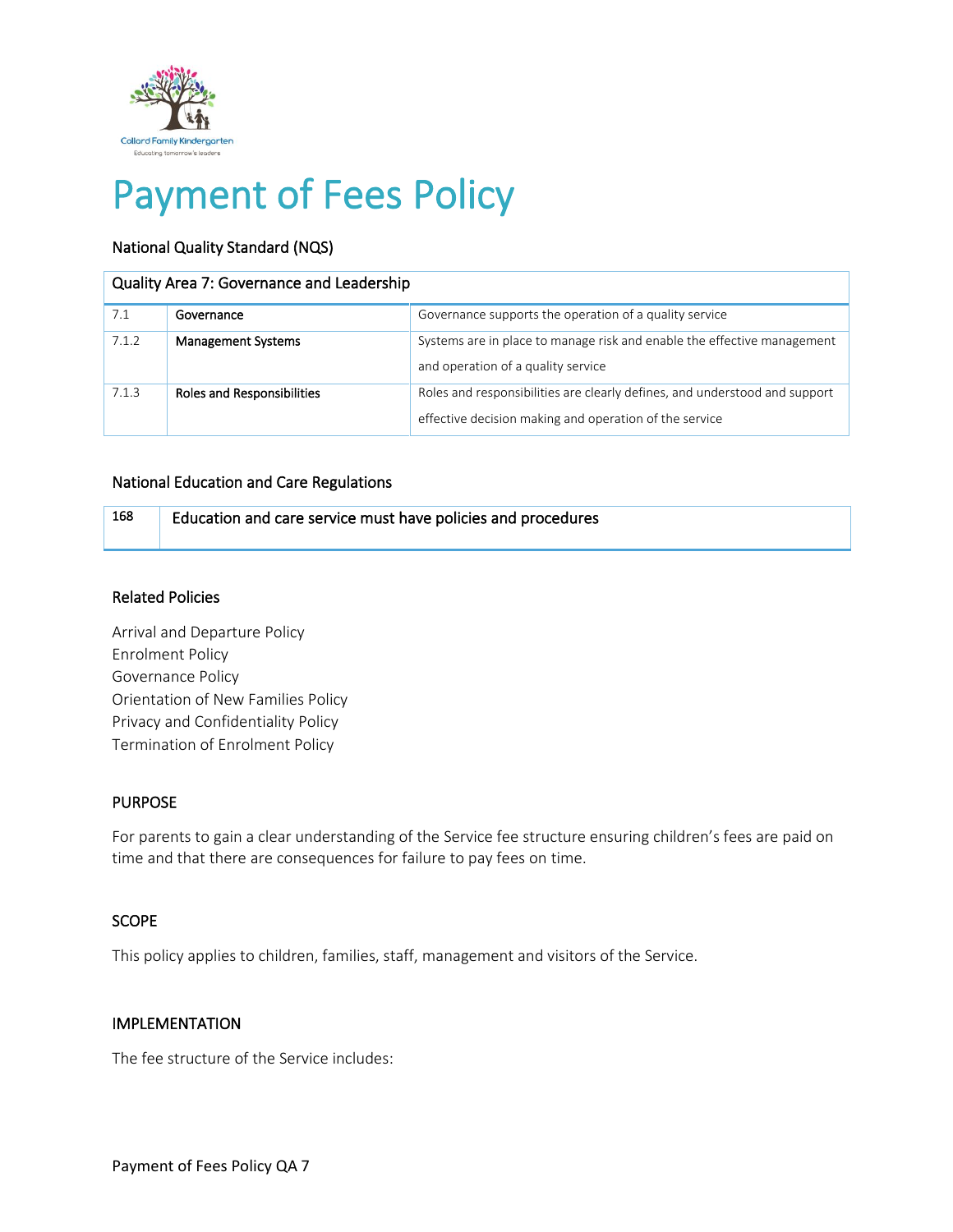

# Payment of Fees Policy

# National Quality Standard (NQS)

#### Quality Area 7: Governance and Leadership

| 7.1   | Governance                        | Governance supports the operation of a quality service                                                                               |
|-------|-----------------------------------|--------------------------------------------------------------------------------------------------------------------------------------|
| 7.1.2 | <b>Management Systems</b>         | Systems are in place to manage risk and enable the effective management<br>and operation of a quality service                        |
| 7.1.3 | <b>Roles and Responsibilities</b> | Roles and responsibilities are clearly defines, and understood and support<br>effective decision making and operation of the service |

## National Education and Care Regulations

| 168 | Education and care service must have policies and procedures |
|-----|--------------------------------------------------------------|
|     |                                                              |

#### Related Policies

Arrival and Departure Policy Enrolment Policy Governance Policy Orientation of New Families Policy Privacy and Confidentiality Policy Termination of Enrolment Policy

## PURPOSE

For parents to gain a clear understanding of the Service fee structure ensuring children's fees are paid on time and that there are consequences for failure to pay fees on time.

## SCOPE

This policy applies to children, families, staff, management and visitors of the Service.

#### IMPLEMENTATION

The fee structure of the Service includes: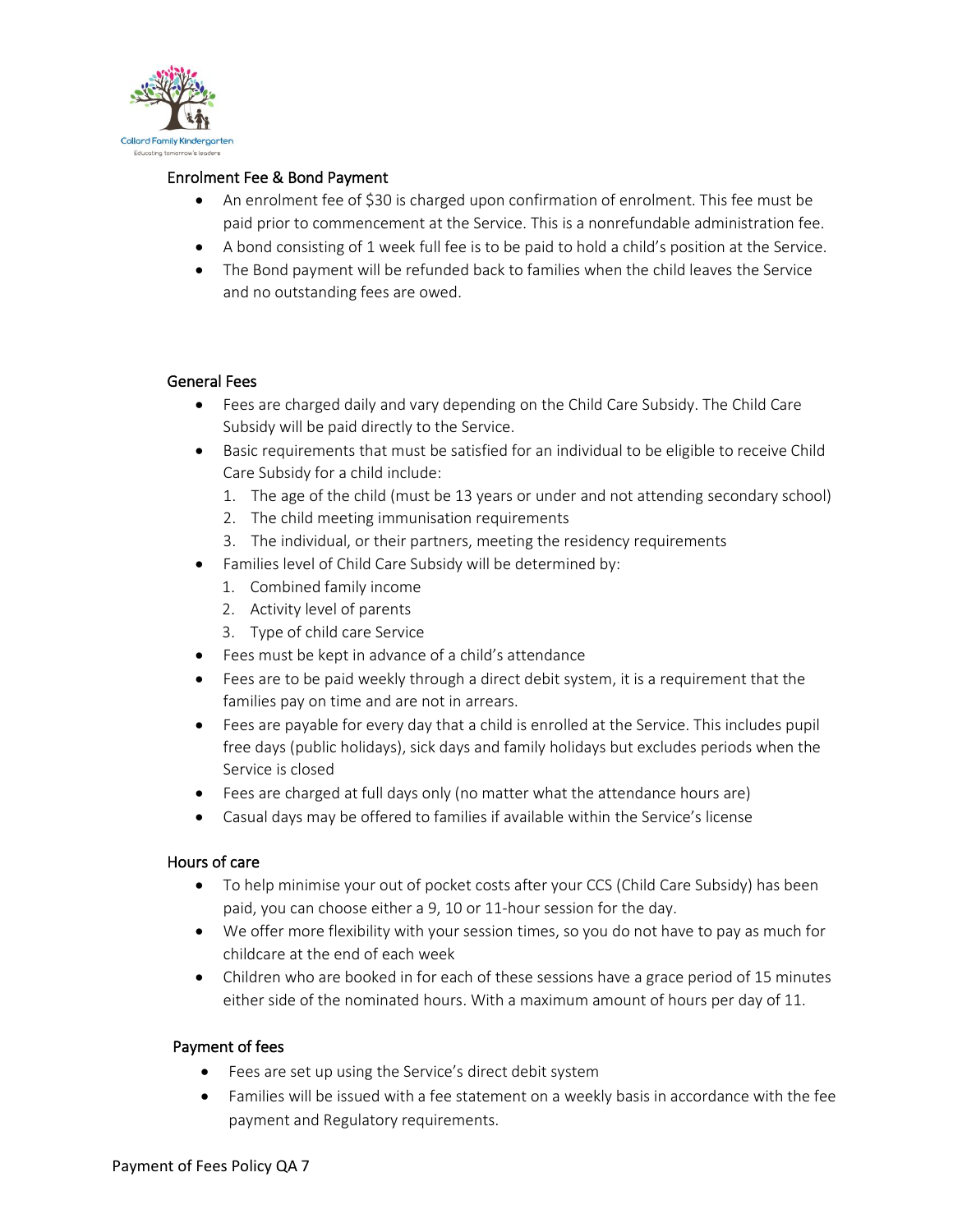

## Enrolment Fee & Bond Payment

- An enrolment fee of \$30 is charged upon confirmation of enrolment. This fee must be paid prior to commencement at the Service. This is a nonrefundable administration fee.
- A bond consisting of 1 week full fee is to be paid to hold a child's position at the Service.
- The Bond payment will be refunded back to families when the child leaves the Service and no outstanding fees are owed.

# General Fees

- Fees are charged daily and vary depending on the Child Care Subsidy. The Child Care Subsidy will be paid directly to the Service.
- Basic requirements that must be satisfied for an individual to be eligible to receive Child Care Subsidy for a child include:
	- 1. The age of the child (must be 13 years or under and not attending secondary school)
	- 2. The child meeting immunisation requirements
	- 3. The individual, or their partners, meeting the residency requirements
- Families level of Child Care Subsidy will be determined by:
	- 1. Combined family income
	- 2. Activity level of parents
	- 3. Type of child care Service
- Fees must be kept in advance of a child's attendance
- Fees are to be paid weekly through a direct debit system, it is a requirement that the families pay on time and are not in arrears.
- Fees are payable for every day that a child is enrolled at the Service. This includes pupil free days (public holidays), sick days and family holidays but excludes periods when the Service is closed
- Fees are charged at full days only (no matter what the attendance hours are)
- Casual days may be offered to families if available within the Service's license

## Hours of care

- To help minimise your out of pocket costs after your CCS (Child Care Subsidy) has been paid, you can choose either a 9, 10 or 11-hour session for the day.
- We offer more flexibility with your session times, so you do not have to pay as much for childcare at the end of each week
- Children who are booked in for each of these sessions have a grace period of 15 minutes either side of the nominated hours. With a maximum amount of hours per day of 11.

## Payment of fees

- Fees are set up using the Service's direct debit system
- Families will be issued with a fee statement on a weekly basis in accordance with the fee payment and Regulatory requirements.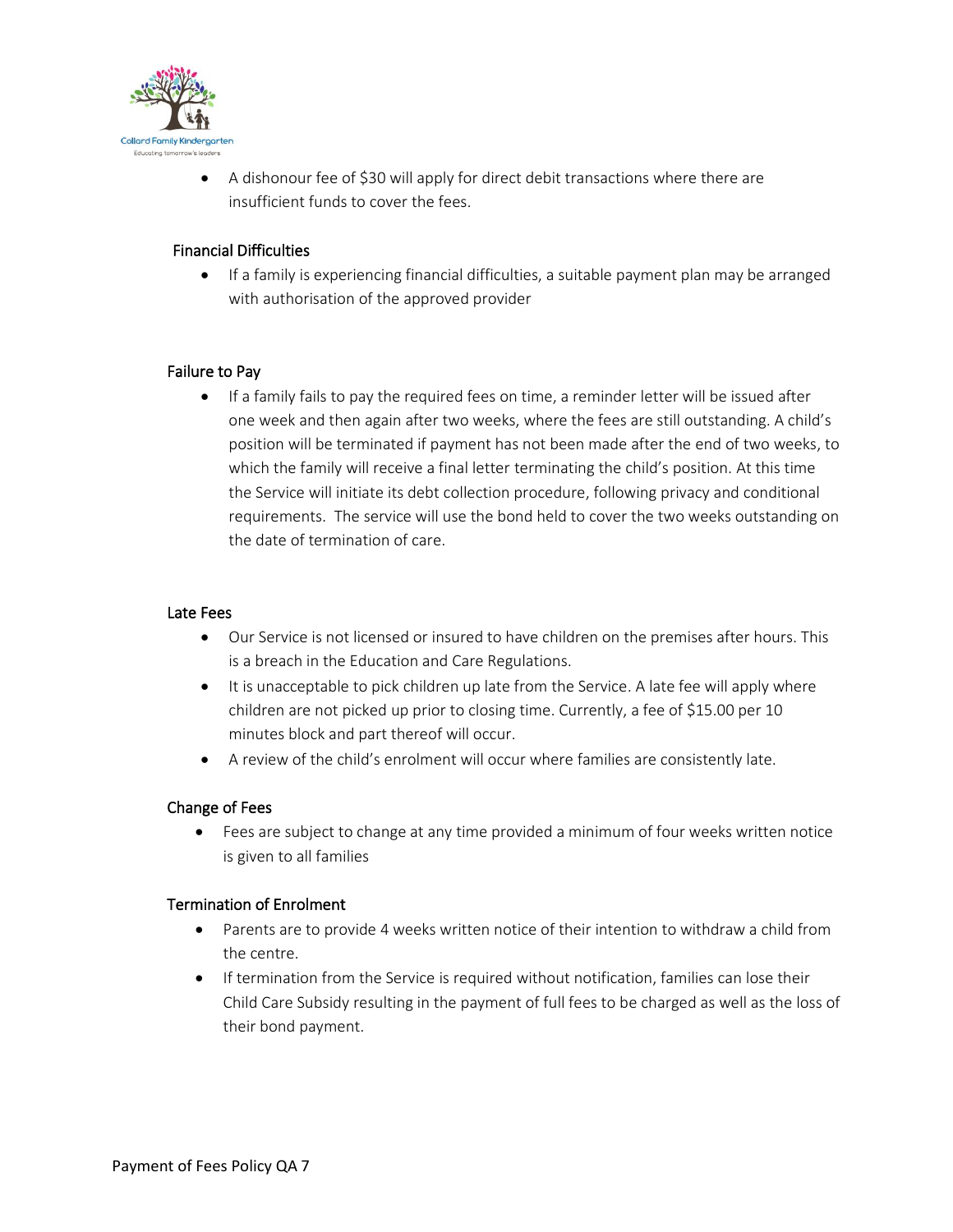

• A dishonour fee of \$30 will apply for direct debit transactions where there are insufficient funds to cover the fees.

# Financial Difficulties

• If a family is experiencing financial difficulties, a suitable payment plan may be arranged with authorisation of the approved provider

# Failure to Pay

• If a family fails to pay the required fees on time, a reminder letter will be issued after one week and then again after two weeks, where the fees are still outstanding. A child's position will be terminated if payment has not been made after the end of two weeks, to which the family will receive a final letter terminating the child's position. At this time the Service will initiate its debt collection procedure, following privacy and conditional requirements. The service will use the bond held to cover the two weeks outstanding on the date of termination of care.

## Late Fees

- Our Service is not licensed or insured to have children on the premises after hours. This is a breach in the Education and Care Regulations.
- It is unacceptable to pick children up late from the Service. A late fee will apply where children are not picked up prior to closing time. Currently, a fee of \$15.00 per 10 minutes block and part thereof will occur.
- A review of the child's enrolment will occur where families are consistently late.

## Change of Fees

• Fees are subject to change at any time provided a minimum of four weeks written notice is given to all families

## Termination of Enrolment

- Parents are to provide 4 weeks written notice of their intention to withdraw a child from the centre.
- If termination from the Service is required without notification, families can lose their Child Care Subsidy resulting in the payment of full fees to be charged as well as the loss of their bond payment.